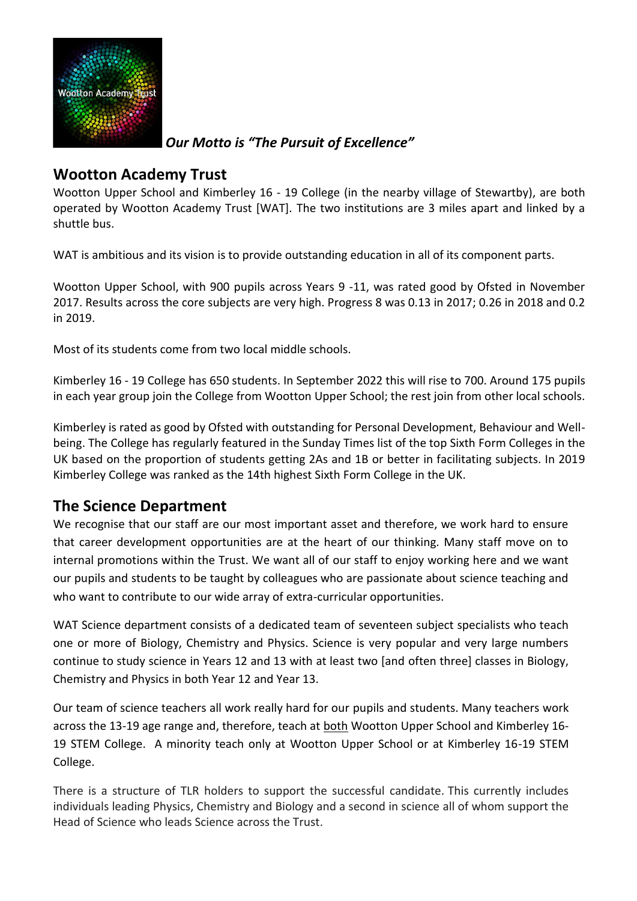

*Our Motto is "The Pursuit of Excellence"*

## **Wootton Academy Trust**

Wootton Upper School and Kimberley 16 - 19 College (in the nearby village of Stewartby), are both operated by Wootton Academy Trust [WAT]. The two institutions are 3 miles apart and linked by a shuttle bus.

WAT is ambitious and its vision is to provide outstanding education in all of its component parts.

Wootton Upper School, with 900 pupils across Years 9 -11, was rated good by Ofsted in November 2017. Results across the core subjects are very high. Progress 8 was 0.13 in 2017; 0.26 in 2018 and 0.2 in 2019.

Most of its students come from two local middle schools.

Kimberley 16 - 19 College has 650 students. In September 2022 this will rise to 700. Around 175 pupils in each year group join the College from Wootton Upper School; the rest join from other local schools.

Kimberley is rated as good by Ofsted with outstanding for Personal Development, Behaviour and Wellbeing. The College has regularly featured in the Sunday Times list of the top Sixth Form Colleges in the UK based on the proportion of students getting 2As and 1B or better in facilitating subjects. In 2019 Kimberley College was ranked as the 14th highest Sixth Form College in the UK.

## **The Science Department**

We recognise that our staff are our most important asset and therefore, we work hard to ensure that career development opportunities are at the heart of our thinking. Many staff move on to internal promotions within the Trust. We want all of our staff to enjoy working here and we want our pupils and students to be taught by colleagues who are passionate about science teaching and who want to contribute to our wide array of extra-curricular opportunities.

WAT Science department consists of a dedicated team of seventeen subject specialists who teach one or more of Biology, Chemistry and Physics. Science is very popular and very large numbers continue to study science in Years 12 and 13 with at least two [and often three] classes in Biology, Chemistry and Physics in both Year 12 and Year 13.

Our team of science teachers all work really hard for our pupils and students. Many teachers work across the 13-19 age range and, therefore, teach at both Wootton Upper School and Kimberley 16- 19 STEM College. A minority teach only at Wootton Upper School or at Kimberley 16-19 STEM College.

There is a structure of TLR holders to support the successful candidate. This currently includes individuals leading Physics, Chemistry and Biology and a second in science all of whom support the Head of Science who leads Science across the Trust.